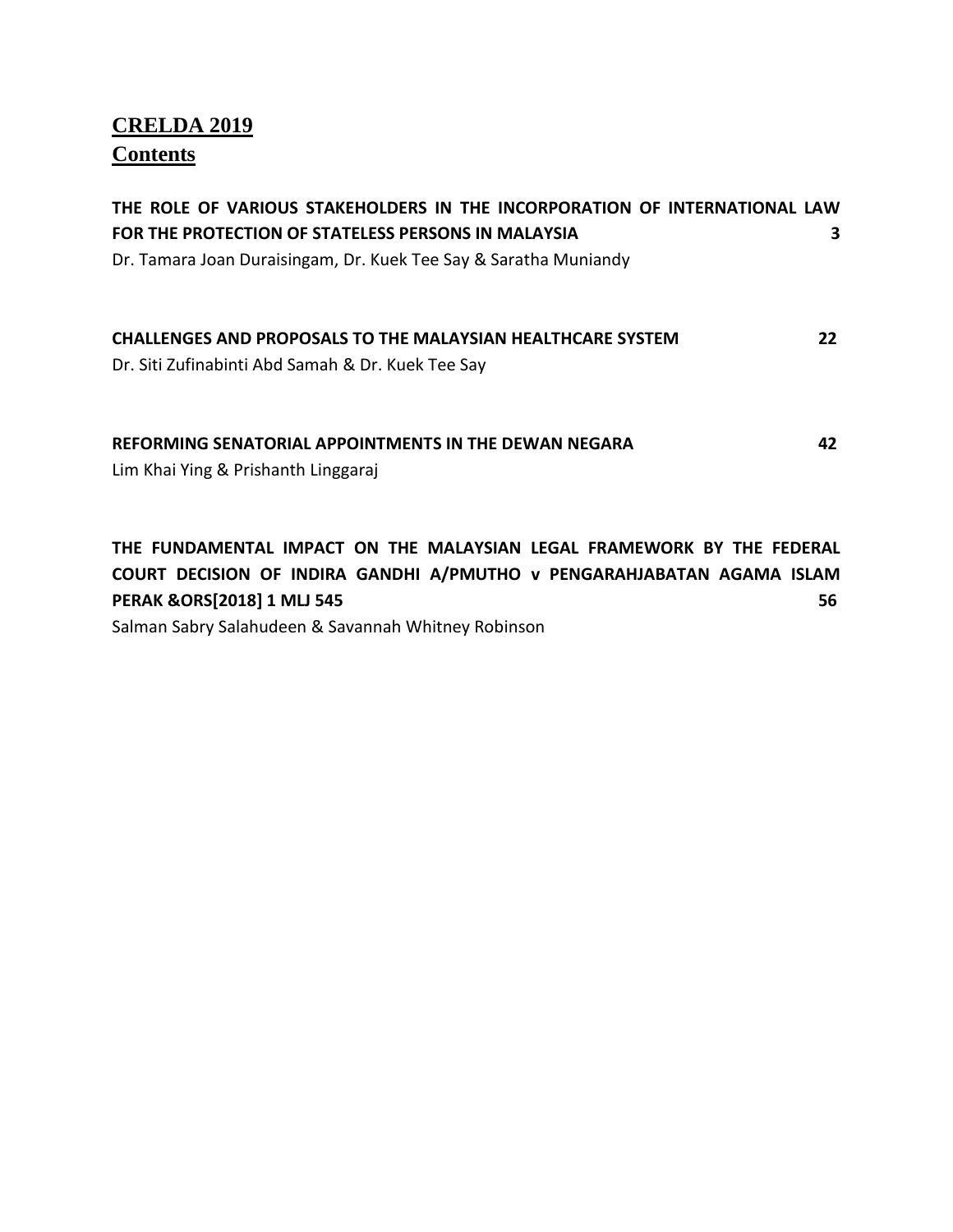# **CRELDA 2019 Contents**

| THE ROLE OF VARIOUS STAKEHOLDERS IN THE INCORPORATION OF INTERNATIONAL LAW<br>FOR THE PROTECTION OF STATELESS PERSONS IN MALAYSIA<br>Dr. Tamara Joan Duraisingam, Dr. Kuek Tee Say & Saratha Muniandy                                        | 3 |
|----------------------------------------------------------------------------------------------------------------------------------------------------------------------------------------------------------------------------------------------|---|
| <b>CHALLENGES AND PROPOSALS TO THE MALAYSIAN HEALTHCARE SYSTEM</b><br>22<br>Dr. Siti Zufinabinti Abd Samah & Dr. Kuek Tee Say                                                                                                                |   |
| <b>REFORMING SENATORIAL APPOINTMENTS IN THE DEWAN NEGARA</b><br>42<br>Lim Khai Ying & Prishanth Linggaraj                                                                                                                                    |   |
| THE FUNDAMENTAL IMPACT ON THE MALAYSIAN LEGAL FRAMEWORK BY THE FEDERAL<br>COURT DECISION OF INDIRA GANDHI A/PMUTHO v PENGARAHJABATAN AGAMA ISLAM<br>PERAK & ORS[2018] 1 MLJ 545<br>56<br>Salman Sabry Salahudeen & Savannah Whitney Robinson |   |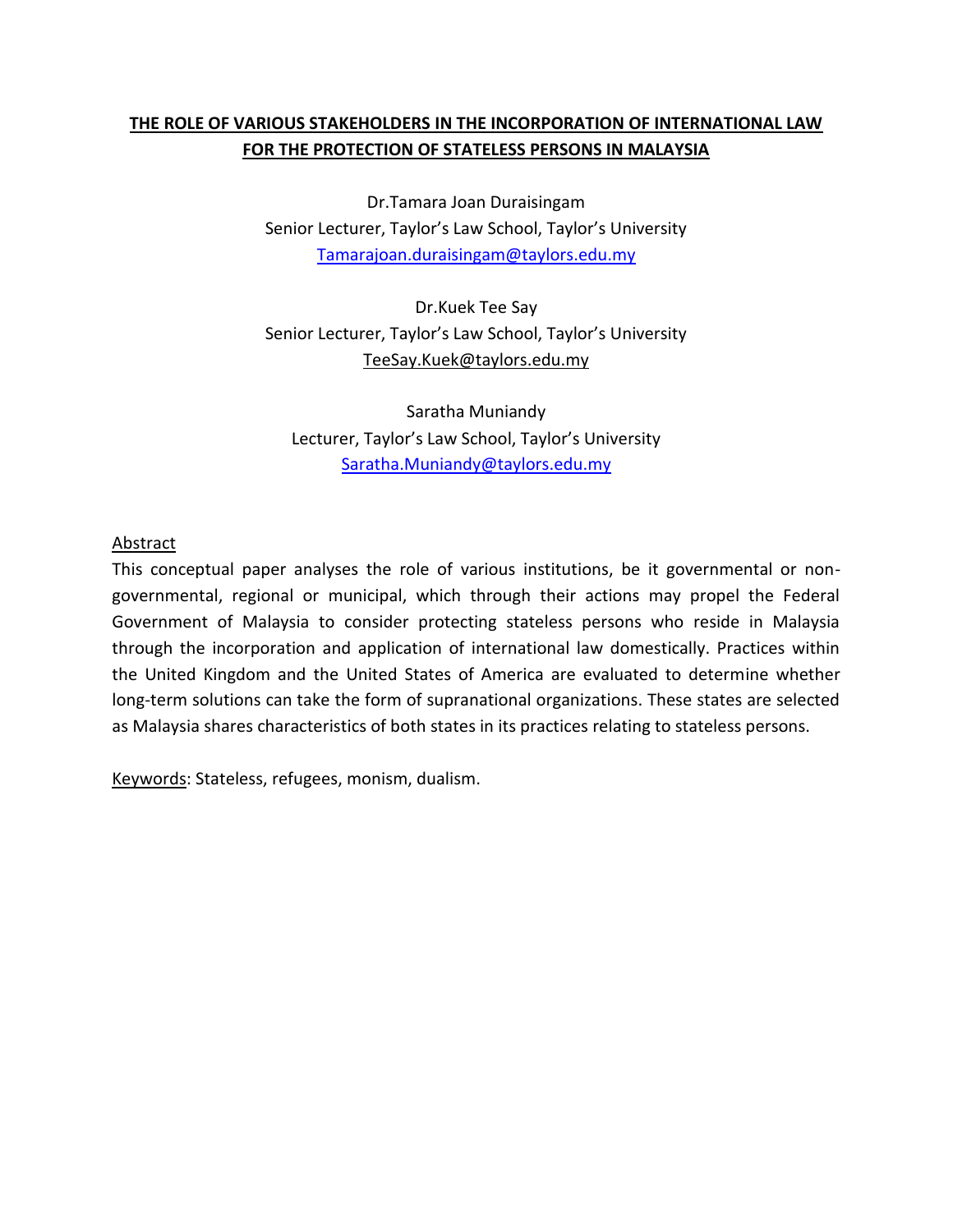# **THE ROLE OF VARIOUS STAKEHOLDERS IN THE INCORPORATION OF INTERNATIONAL LAW FOR THE PROTECTION OF STATELESS PERSONS IN MALAYSIA**

Dr.Tamara Joan Duraisingam Senior Lecturer, Taylor's Law School, Taylor's University [Tamarajoan.duraisingam@taylors.edu.my](mailto:Tamarajoan.duraisingam@taylors.edu.my)

Dr.Kuek Tee Say Senior Lecturer, Taylor's Law School, Taylor's University TeeSay.Kuek@taylors.edu.my

Saratha Muniandy Lecturer, Taylor's Law School, Taylor's University [Saratha.Muniandy@taylors.edu.my](mailto:Saratha.Muniandy@taylors.edu.my)

### Abstract

This conceptual paper analyses the role of various institutions, be it governmental or nongovernmental, regional or municipal, which through their actions may propel the Federal Government of Malaysia to consider protecting stateless persons who reside in Malaysia through the incorporation and application of international law domestically. Practices within the United Kingdom and the United States of America are evaluated to determine whether long-term solutions can take the form of supranational organizations. These states are selected as Malaysia shares characteristics of both states in its practices relating to stateless persons.

Keywords: Stateless, refugees, monism, dualism.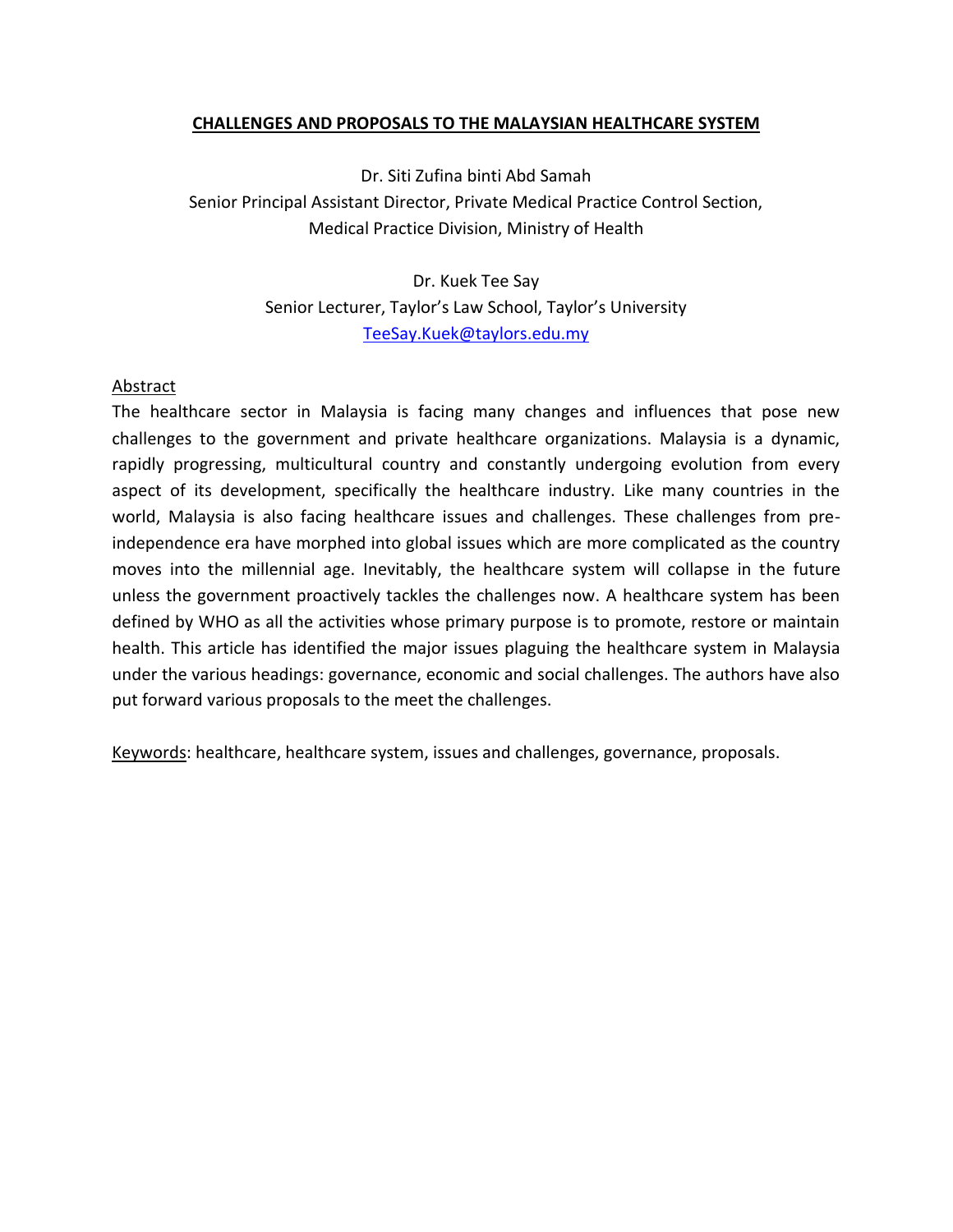#### **CHALLENGES AND PROPOSALS TO THE MALAYSIAN HEALTHCARE SYSTEM**

Dr. Siti Zufina binti Abd Samah Senior Principal Assistant Director, Private Medical Practice Control Section, Medical Practice Division, Ministry of Health

> Dr. Kuek Tee Say Senior Lecturer, Taylor's Law School, Taylor's University [TeeSay.Kuek@taylors.edu.my](mailto:TeeSay.Kuek@taylors.edu.my)

#### Abstract

The healthcare sector in Malaysia is facing many changes and influences that pose new challenges to the government and private healthcare organizations. Malaysia is a dynamic, rapidly progressing, multicultural country and constantly undergoing evolution from every aspect of its development, specifically the healthcare industry. Like many countries in the world, Malaysia is also facing healthcare issues and challenges. These challenges from preindependence era have morphed into global issues which are more complicated as the country moves into the millennial age. Inevitably, the healthcare system will collapse in the future unless the government proactively tackles the challenges now. A healthcare system has been defined by WHO as all the activities whose primary purpose is to promote, restore or maintain health. This article has identified the major issues plaguing the healthcare system in Malaysia under the various headings: governance, economic and social challenges. The authors have also put forward various proposals to the meet the challenges.

Keywords: healthcare, healthcare system, issues and challenges, governance, proposals.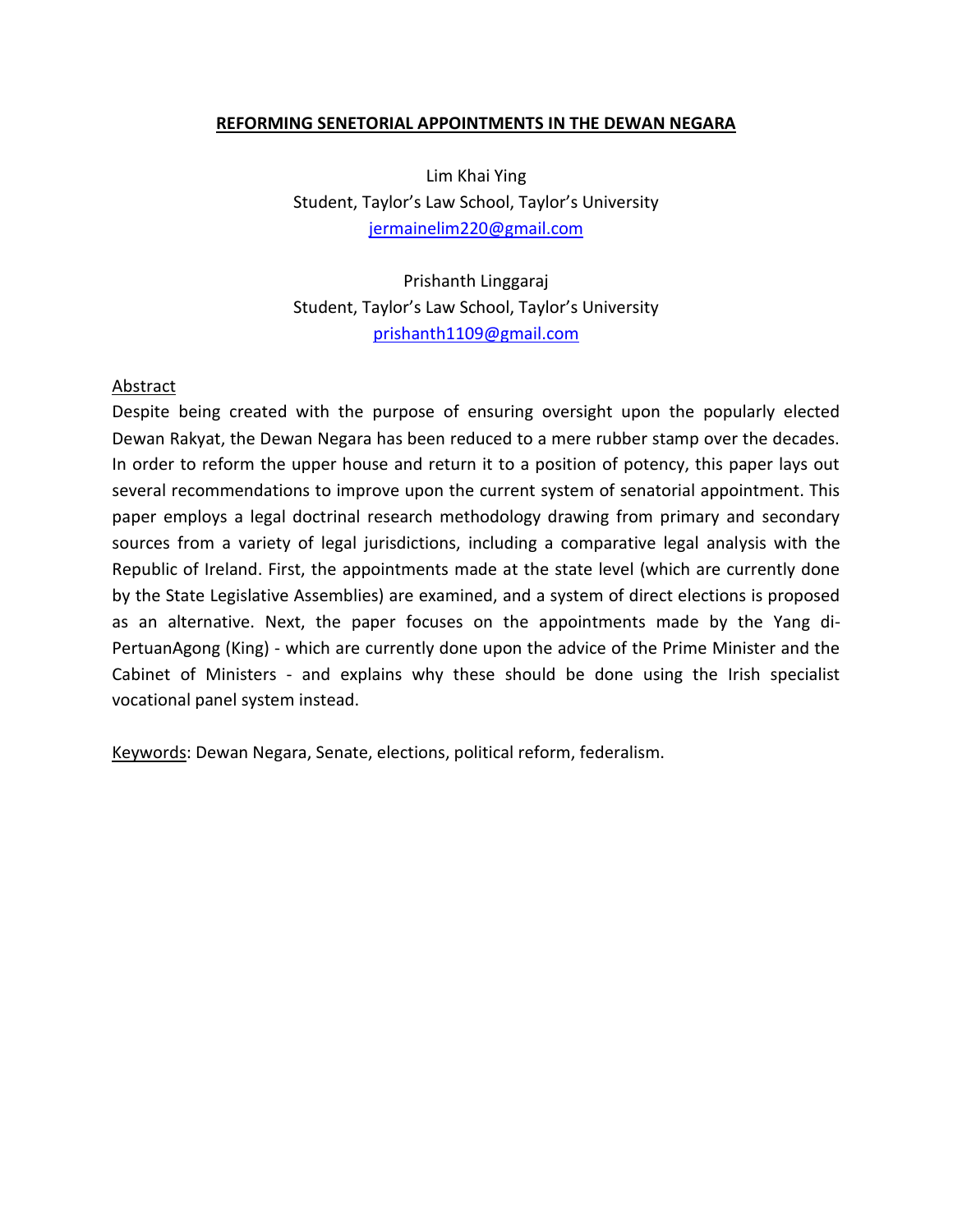#### **REFORMING SENETORIAL APPOINTMENTS IN THE DEWAN NEGARA**

Lim Khai Ying Student, Taylor's Law School, Taylor's University [jermainelim220@gmail.com](mailto:jermainelim220@gmail.com)

Prishanth Linggaraj Student, Taylor's Law School, Taylor's University [prishanth1109@gmail.com](mailto:prishanth1109@gmail.com)

#### Abstract

Despite being created with the purpose of ensuring oversight upon the popularly elected Dewan Rakyat, the Dewan Negara has been reduced to a mere rubber stamp over the decades. In order to reform the upper house and return it to a position of potency, this paper lays out several recommendations to improve upon the current system of senatorial appointment. This paper employs a legal doctrinal research methodology drawing from primary and secondary sources from a variety of legal jurisdictions, including a comparative legal analysis with the Republic of Ireland. First, the appointments made at the state level (which are currently done by the State Legislative Assemblies) are examined, and a system of direct elections is proposed as an alternative. Next, the paper focuses on the appointments made by the Yang di-PertuanAgong (King) - which are currently done upon the advice of the Prime Minister and the Cabinet of Ministers - and explains why these should be done using the Irish specialist vocational panel system instead.

Keywords: Dewan Negara, Senate, elections, political reform, federalism.